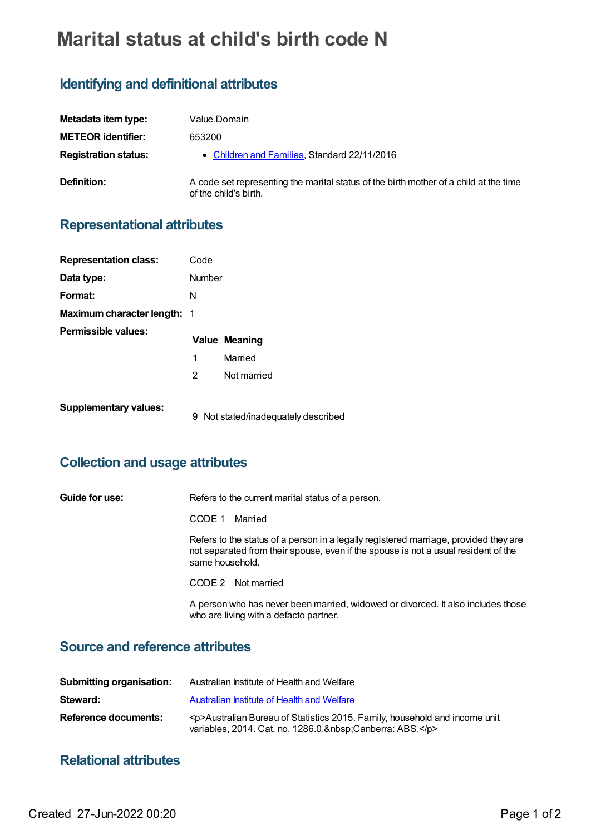# **Marital status at child's birth code N**

# **Identifying and definitional attributes**

| Metadata item type:         | Value Domain                                                                                                   |
|-----------------------------|----------------------------------------------------------------------------------------------------------------|
| <b>METEOR identifier:</b>   | 653200                                                                                                         |
| <b>Registration status:</b> | • Children and Families, Standard 22/11/2016                                                                   |
| Definition:                 | A code set representing the marital status of the birth mother of a child at the time<br>of the child's birth. |

# **Representational attributes**

| <b>Representation class:</b>       | Code   |                      |
|------------------------------------|--------|----------------------|
| Data type:                         | Number |                      |
| Format:                            | N      |                      |
| <b>Maximum character length: 1</b> |        |                      |
| Permissible values:                |        | <b>Value Meaning</b> |
|                                    | 1      | Married              |
|                                    | 2      | Not married          |
| <b>Supplementary values:</b>       |        |                      |

9 Not stated/inadequately described

#### **Collection and usage attributes**

| Guide for use: | Refers to the current marital status of a person.                                                                                                                                             |
|----------------|-----------------------------------------------------------------------------------------------------------------------------------------------------------------------------------------------|
|                | Married<br>CODE 1                                                                                                                                                                             |
|                | Refers to the status of a person in a legally registered marriage, provided they are<br>not separated from their spouse, even if the spouse is not a usual resident of the<br>same household. |
|                | CODE 2 Not married                                                                                                                                                                            |
|                | A person who has never been married, widowed or divorced. It also includes those<br>who are living with a defacto partner.                                                                    |

### **Source and reference attributes**

| Submitting organisation:    | Australian Institute of Health and Welfare                                                                                          |
|-----------------------------|-------------------------------------------------------------------------------------------------------------------------------------|
| Steward:                    | Australian Institute of Health and Welfare                                                                                          |
| <b>Reference documents:</b> | <p>Australian Bureau of Statistics 2015. Family, household and income unit<br/>variables, 2014. Cat. no. 1286.0. Canberra: ABS.</p> |

# **Relational attributes**